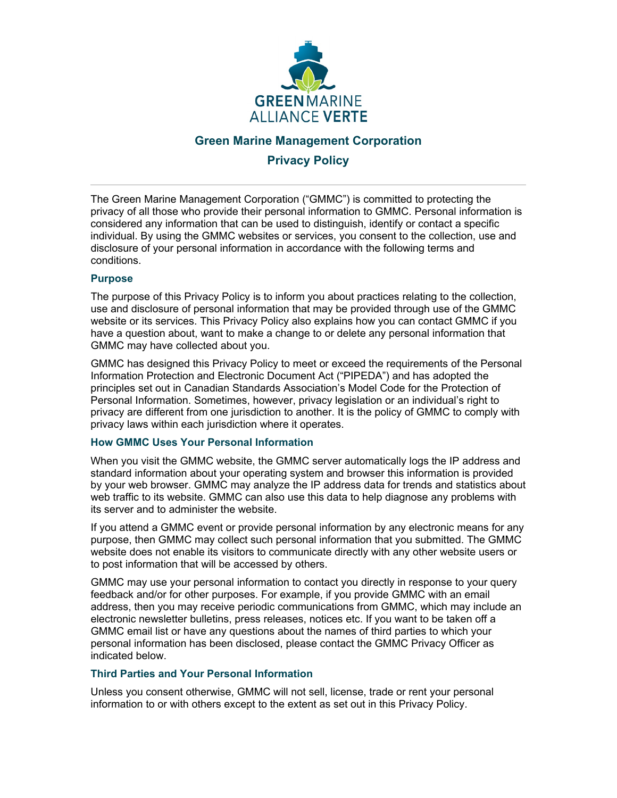

# **Green Marine Management Corporation Privacy Policy**

The Green Marine Management Corporation ("GMMC") is committed to protecting the privacy of all those who provide their personal information to GMMC. Personal information is considered any information that can be used to distinguish, identify or contact a specific individual. By using the GMMC websites or services, you consent to the collection, use and disclosure of your personal information in accordance with the following terms and conditions.

## **Purpose**

The purpose of this Privacy Policy is to inform you about practices relating to the collection, use and disclosure of personal information that may be provided through use of the GMMC website or its services. This Privacy Policy also explains how you can contact GMMC if you have a question about, want to make a change to or delete any personal information that GMMC may have collected about you.

GMMC has designed this Privacy Policy to meet or exceed the requirements of the Personal Information Protection and Electronic Document Act ("PIPEDA") and has adopted the principles set out in Canadian Standards Association's Model Code for the Protection of Personal Information. Sometimes, however, privacy legislation or an individual's right to privacy are different from one jurisdiction to another. It is the policy of GMMC to comply with privacy laws within each jurisdiction where it operates.

## **How GMMC Uses Your Personal Information**

When you visit the GMMC website, the GMMC server automatically logs the IP address and standard information about your operating system and browser this information is provided by your web browser. GMMC may analyze the IP address data for trends and statistics about web traffic to its website. GMMC can also use this data to help diagnose any problems with its server and to administer the website.

If you attend a GMMC event or provide personal information by any electronic means for any purpose, then GMMC may collect such personal information that you submitted. The GMMC website does not enable its visitors to communicate directly with any other website users or to post information that will be accessed by others.

GMMC may use your personal information to contact you directly in response to your query feedback and/or for other purposes. For example, if you provide GMMC with an email address, then you may receive periodic communications from GMMC, which may include an electronic newsletter bulletins, press releases, notices etc. If you want to be taken off a GMMC email list or have any questions about the names of third parties to which your personal information has been disclosed, please contact the GMMC Privacy Officer as indicated below.

## **Third Parties and Your Personal Information**

Unless you consent otherwise, GMMC will not sell, license, trade or rent your personal information to or with others except to the extent as set out in this Privacy Policy.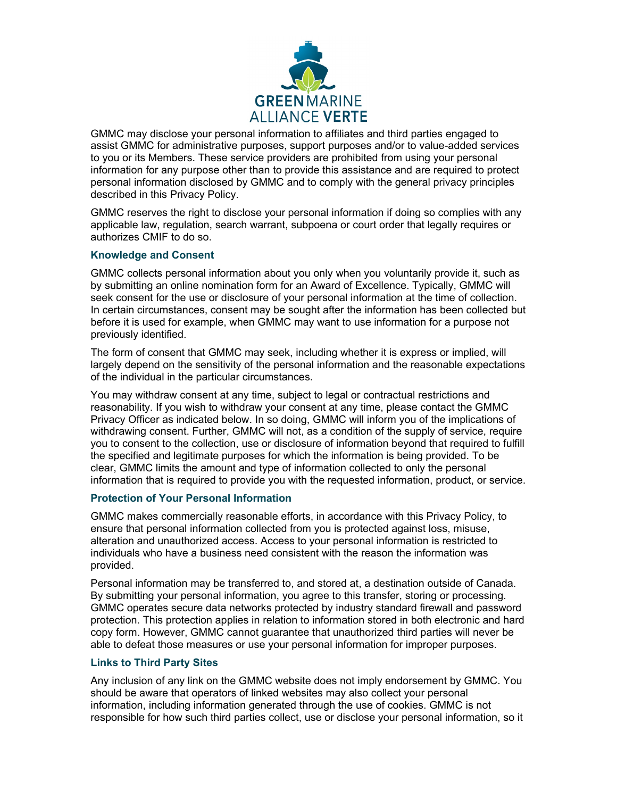

GMMC may disclose your personal information to affiliates and third parties engaged to assist GMMC for administrative purposes, support purposes and/or to value-added services to you or its Members. These service providers are prohibited from using your personal information for any purpose other than to provide this assistance and are required to protect personal information disclosed by GMMC and to comply with the general privacy principles described in this Privacy Policy.

GMMC reserves the right to disclose your personal information if doing so complies with any applicable law, regulation, search warrant, subpoena or court order that legally requires or authorizes CMIF to do so.

## **Knowledge and Consent**

GMMC collects personal information about you only when you voluntarily provide it, such as by submitting an online nomination form for an Award of Excellence. Typically, GMMC will seek consent for the use or disclosure of your personal information at the time of collection. In certain circumstances, consent may be sought after the information has been collected but before it is used for example, when GMMC may want to use information for a purpose not previously identified.

The form of consent that GMMC may seek, including whether it is express or implied, will largely depend on the sensitivity of the personal information and the reasonable expectations of the individual in the particular circumstances.

You may withdraw consent at any time, subject to legal or contractual restrictions and reasonability. If you wish to withdraw your consent at any time, please contact the GMMC Privacy Officer as indicated below. In so doing, GMMC will inform you of the implications of withdrawing consent. Further, GMMC will not, as a condition of the supply of service, require you to consent to the collection, use or disclosure of information beyond that required to fulfill the specified and legitimate purposes for which the information is being provided. To be clear, GMMC limits the amount and type of information collected to only the personal information that is required to provide you with the requested information, product, or service.

#### **Protection of Your Personal Information**

GMMC makes commercially reasonable efforts, in accordance with this Privacy Policy, to ensure that personal information collected from you is protected against loss, misuse, alteration and unauthorized access. Access to your personal information is restricted to individuals who have a business need consistent with the reason the information was provided.

Personal information may be transferred to, and stored at, a destination outside of Canada. By submitting your personal information, you agree to this transfer, storing or processing. GMMC operates secure data networks protected by industry standard firewall and password protection. This protection applies in relation to information stored in both electronic and hard copy form. However, GMMC cannot guarantee that unauthorized third parties will never be able to defeat those measures or use your personal information for improper purposes.

## **Links to Third Party Sites**

Any inclusion of any link on the GMMC website does not imply endorsement by GMMC. You should be aware that operators of linked websites may also collect your personal information, including information generated through the use of cookies. GMMC is not responsible for how such third parties collect, use or disclose your personal information, so it